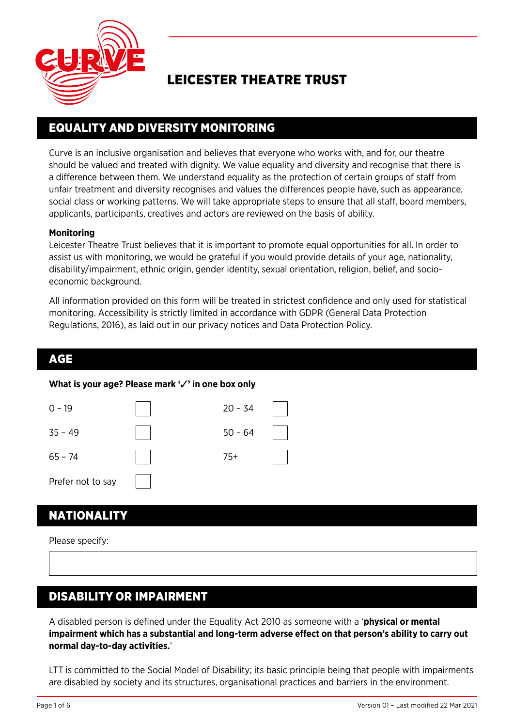

# LEICESTER THEATRE TRUST

## EQUALITY AND DIVERSITY MONITORING

Curve is an inclusive organisation and believes that everyone who works with, and for, our theatre should be valued and treated with dignity. We value equality and diversity and recognise that there is a difference between them. We understand equality as the protection of certain groups of staff from unfair treatment and diversity recognises and values the differences people have, such as appearance, social class or working patterns. We will take appropriate steps to ensure that all staff, board members, applicants, participants, creatives and actors are reviewed on the basis of ability.

### **Monitoring**

Leicester Theatre Trust believes that it is important to promote equal opportunities for all. In order to assist us with monitoring, we would be grateful if you would provide details of your age, nationality, disability/impairment, ethnic origin, gender identity, sexual orientation, religion, belief, and socioeconomic background.

All information provided on this form will be treated in strictest confidence and only used for statistical monitoring. Accessibility is strictly limited in accordance with GDPR (General Data Protection Regulations, 2016), as laid out in our privacy notices and Data Protection Policy.

### AGE

### **What is your age? Please mark '**✓**' in one box only**

| $0 - 19$          | $20 - 34$ |  |
|-------------------|-----------|--|
| $35 - 49$         | $50 - 64$ |  |
| $65 - 74$         | $75+$     |  |
| Prefer not to say |           |  |

### NATIONALITY

Please specify:

### DISABILITY OR IMPAIRMENT

A disabled person is defined under the Equality Act 2010 as someone with a '**physical or mental impairment which has a substantial and long-term adverse effect on that person's ability to carry out normal day-to-day activities.**'

LTT is committed to the Social Model of Disability; its basic principle being that people with impairments are disabled by society and its structures, organisational practices and barriers in the environment.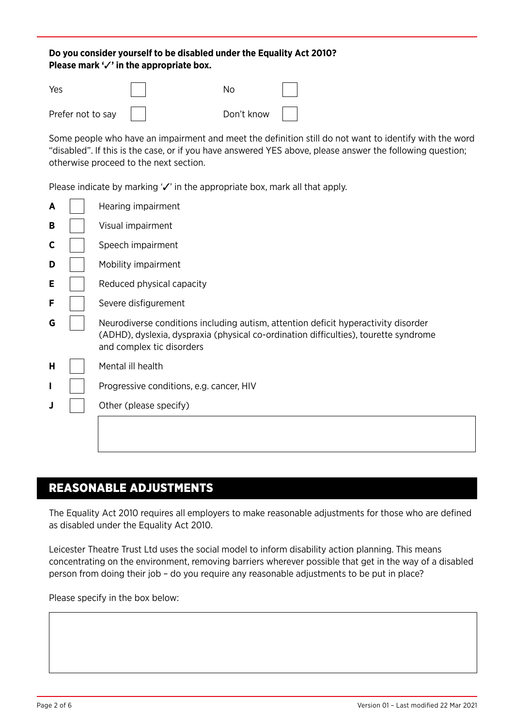### **Do you consider yourself to be disabled under the Equality Act 2010? Please mark '**✓**' in the appropriate box.**

| Yes               | N٥                |  |
|-------------------|-------------------|--|
| Prefer not to say | Don't know $\ \ $ |  |

Some people who have an impairment and meet the definition still do not want to identify with the word "disabled". If this is the case, or if you have answered YES above, please answer the following question; otherwise proceed to the next section.

Please indicate by marking '√' in the appropriate box, mark all that apply.

| A | Hearing impairment                                                                                                                                                                                      |
|---|---------------------------------------------------------------------------------------------------------------------------------------------------------------------------------------------------------|
| В | Visual impairment                                                                                                                                                                                       |
| С | Speech impairment                                                                                                                                                                                       |
| D | Mobility impairment                                                                                                                                                                                     |
| Е | Reduced physical capacity                                                                                                                                                                               |
| F | Severe disfigurement                                                                                                                                                                                    |
| G | Neurodiverse conditions including autism, attention deficit hyperactivity disorder<br>(ADHD), dyslexia, dyspraxia (physical co-ordination difficulties), tourette syndrome<br>and complex tic disorders |
| Н | Mental ill health                                                                                                                                                                                       |
| ı | Progressive conditions, e.g. cancer, HIV                                                                                                                                                                |
| J | Other (please specify)                                                                                                                                                                                  |
|   |                                                                                                                                                                                                         |

## REASONABLE ADJUSTMENTS

The Equality Act 2010 requires all employers to make reasonable adjustments for those who are defined as disabled under the Equality Act 2010.

Leicester Theatre Trust Ltd uses the social model to inform disability action planning. This means concentrating on the environment, removing barriers wherever possible that get in the way of a disabled person from doing their job – do you require any reasonable adjustments to be put in place?

Please specify in the box below: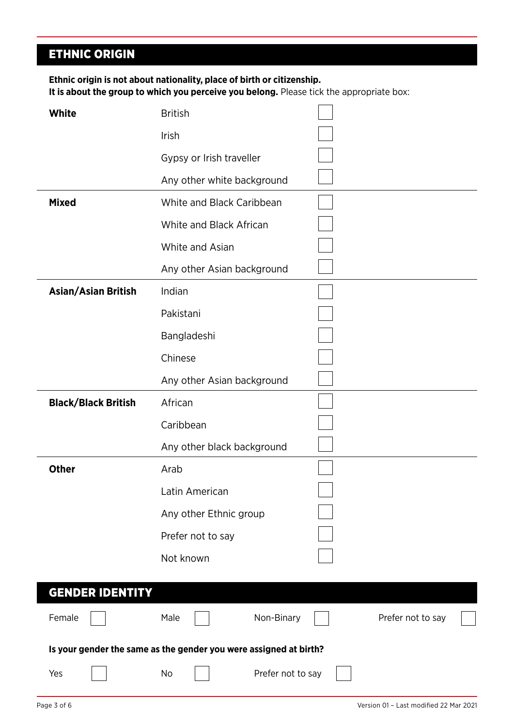# ETHNIC ORIGIN

**Ethnic origin is not about nationality, place of birth or citizenship. It is about the group to which you perceive you belong.** Please tick the appropriate box:

| White                      | <b>British</b>                                                    |                   |
|----------------------------|-------------------------------------------------------------------|-------------------|
|                            | Irish                                                             |                   |
|                            | Gypsy or Irish traveller                                          |                   |
|                            | Any other white background                                        |                   |
| <b>Mixed</b>               | White and Black Caribbean                                         |                   |
|                            | White and Black African                                           |                   |
|                            | White and Asian                                                   |                   |
|                            | Any other Asian background                                        |                   |
| <b>Asian/Asian British</b> | Indian                                                            |                   |
|                            | Pakistani                                                         |                   |
|                            | Bangladeshi                                                       |                   |
|                            | Chinese                                                           |                   |
|                            | Any other Asian background                                        |                   |
| <b>Black/Black British</b> | African                                                           |                   |
|                            | Caribbean                                                         |                   |
|                            | Any other black background                                        |                   |
| <b>Other</b>               | Arab                                                              |                   |
|                            | Latin American                                                    |                   |
|                            | Any other Ethnic group                                            |                   |
|                            | Prefer not to say                                                 |                   |
|                            | Not known                                                         |                   |
|                            |                                                                   |                   |
| <b>GENDER IDENTITY</b>     |                                                                   |                   |
| Female                     | Male<br>Non-Binary                                                | Prefer not to say |
|                            | Is your gender the same as the gender you were assigned at birth? |                   |
| Yes                        | No<br>Prefer not to say                                           |                   |
|                            |                                                                   |                   |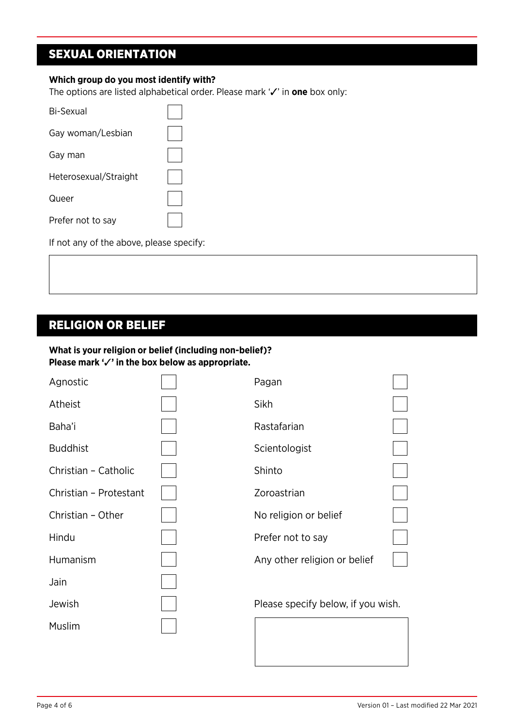## SEXUAL ORIENTATION

#### **Which group do you most identify with?**

The options are listed alphabetical order. Please mark '✓' in **one** box only:

| Bi-Sexual             |  |
|-----------------------|--|
| Gay woman/Lesbian     |  |
| Gay man               |  |
| Heterosexual/Straight |  |
| Queer                 |  |
| Prefer not to say     |  |

If not any of the above, please specify:

### RELIGION OR BELIEF

### **What is your religion or belief (including non-belief)? Please mark '**✓**' in the box below as appropriate.**

| Agnostic               | Pagan                              |  |
|------------------------|------------------------------------|--|
| Atheist                | Sikh                               |  |
| Baha'i                 | Rastafarian                        |  |
| <b>Buddhist</b>        | Scientologist                      |  |
| Christian - Catholic   | Shinto                             |  |
| Christian - Protestant | Zoroastrian                        |  |
| Christian - Other      | No religion or belief              |  |
| Hindu                  | Prefer not to say                  |  |
| Humanism               | Any other religion or belief       |  |
| Jain                   |                                    |  |
| Jewish                 | Please specify below, if you wish. |  |
| Muslim                 |                                    |  |
|                        |                                    |  |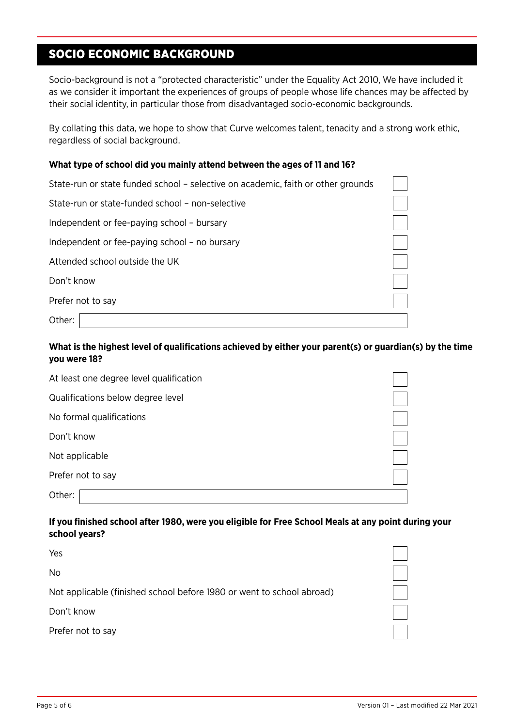## SOCIO ECONOMIC BACKGROUND

Socio-background is not a "protected characteristic" under the Equality Act 2010, We have included it as we consider it important the experiences of groups of people whose life chances may be affected by their social identity, in particular those from disadvantaged socio-economic backgrounds.

By collating this data, we hope to show that Curve welcomes talent, tenacity and a strong work ethic, regardless of social background.

#### **What type of school did you mainly attend between the ages of 11 and 16?**

| State-run or state funded school – selective on academic, faith or other grounds |  |
|----------------------------------------------------------------------------------|--|
| State-run or state-funded school – non-selective                                 |  |
| Independent or fee-paying school - bursary                                       |  |
| Independent or fee-paying school - no bursary                                    |  |
| Attended school outside the UK                                                   |  |
| Don't know                                                                       |  |
| Prefer not to say                                                                |  |
| Other:                                                                           |  |

### **What is the highest level of qualifications achieved by either your parent(s) or guardian(s) by the time you were 18?**

| At least one degree level qualification |  |
|-----------------------------------------|--|
| Qualifications below degree level       |  |
| No formal qualifications                |  |
| Don't know                              |  |
| Not applicable                          |  |
| Prefer not to say                       |  |
| Other:                                  |  |

#### **If you finished school after 1980, were you eligible for Free School Meals at any point during your school years?**